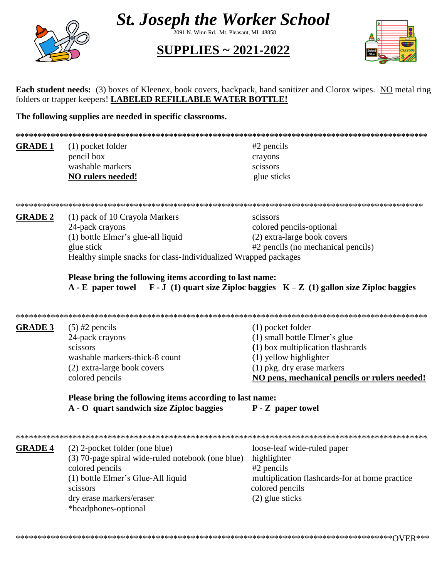

**St. Joseph the Worker School** 

2091 N. Winn Rd. Mt. Pleasant, MI 48858

**SUPPLIES ~ 2021-2022** 



Each student needs: (3) boxes of Kleenex, book covers, backpack, hand sanitizer and Clorox wipes. NO metal ring folders or trapper keepers! LABELED REFILLABLE WATER BOTTLE!

The following supplies are needed in specific classrooms.

| ***************** |                                                                                                  |                                                |  |
|-------------------|--------------------------------------------------------------------------------------------------|------------------------------------------------|--|
| <b>GRADE 1</b>    | (1) pocket folder                                                                                | $#2$ pencils                                   |  |
|                   | pencil box                                                                                       | crayons                                        |  |
|                   | washable markers                                                                                 | scissors                                       |  |
|                   | NO rulers needed!                                                                                | glue sticks                                    |  |
|                   |                                                                                                  |                                                |  |
| <b>GRADE 2</b>    | (1) pack of 10 Crayola Markers                                                                   | scissors                                       |  |
|                   | 24-pack crayons                                                                                  | colored pencils-optional                       |  |
|                   | (1) bottle Elmer's glue-all liquid                                                               | (2) extra-large book covers                    |  |
|                   | glue stick                                                                                       | #2 pencils (no mechanical pencils)             |  |
|                   | Healthy simple snacks for class-Individualized Wrapped packages                                  |                                                |  |
|                   | Please bring the following items according to last name:                                         |                                                |  |
|                   | $A - E$ paper towel $F - J$ (1) quart size Ziploc baggies $K - Z$ (1) gallon size Ziploc baggies |                                                |  |
|                   |                                                                                                  |                                                |  |
|                   |                                                                                                  |                                                |  |
| <b>GRADE 3</b>    | $(5)$ #2 pencils                                                                                 | (1) pocket folder                              |  |
|                   | 24-pack crayons                                                                                  | (1) small bottle Elmer's glue                  |  |
|                   | scissors                                                                                         | (1) box multiplication flashcards              |  |
|                   | washable markers-thick-8 count                                                                   | (1) yellow highlighter                         |  |
|                   | (2) extra-large book covers                                                                      | $(1)$ pkg. dry erase markers                   |  |
|                   | colored pencils                                                                                  | NO pens, mechanical pencils or rulers needed!  |  |
|                   | Please bring the following items according to last name:                                         |                                                |  |
|                   | A - O quart sandwich size Ziploc baggies                                                         | P - Z paper towel                              |  |
|                   |                                                                                                  |                                                |  |
| <b>GRADE 4</b>    | (2) 2-pocket folder (one blue)                                                                   | loose-leaf wide-ruled paper                    |  |
|                   | (3) 70-page spiral wide-ruled notebook (one blue)                                                | highlighter                                    |  |
|                   | colored pencils                                                                                  | $#2$ pencils                                   |  |
|                   | (1) bottle Elmer's Glue-All liquid                                                               | multiplication flashcards-for at home practice |  |
|                   | scissors                                                                                         | colored pencils                                |  |
|                   | dry erase markers/eraser                                                                         | $(2)$ glue sticks                              |  |
|                   | *headphones-optional                                                                             |                                                |  |
|                   |                                                                                                  |                                                |  |
|                   |                                                                                                  |                                                |  |
|                   |                                                                                                  |                                                |  |